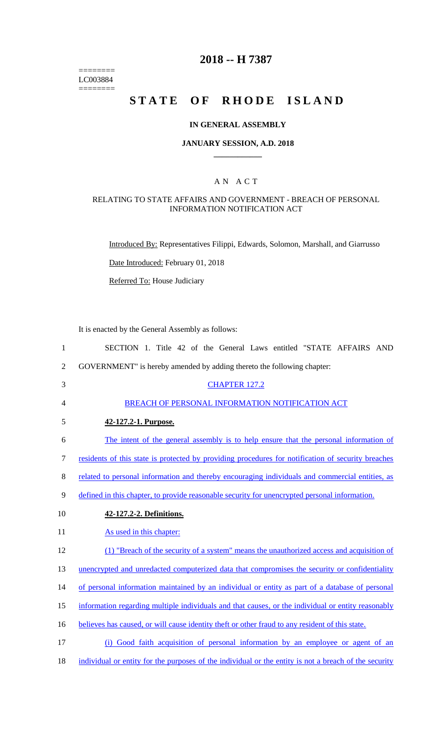======== LC003884  $=$ 

## **2018 -- H 7387**

## **STATE OF RHODE ISLAND**

#### **IN GENERAL ASSEMBLY**

#### **JANUARY SESSION, A.D. 2018 \_\_\_\_\_\_\_\_\_\_\_\_**

### A N A C T

## RELATING TO STATE AFFAIRS AND GOVERNMENT - BREACH OF PERSONAL INFORMATION NOTIFICATION ACT

Introduced By: Representatives Filippi, Edwards, Solomon, Marshall, and Giarrusso

Date Introduced: February 01, 2018

Referred To: House Judiciary

It is enacted by the General Assembly as follows:

| $\mathbf{1}$   | SECTION 1. Title 42 of the General Laws entitled "STATE AFFAIRS AND                                |
|----------------|----------------------------------------------------------------------------------------------------|
| $\overline{2}$ | GOVERNMENT" is hereby amended by adding thereto the following chapter:                             |
| 3              | <b>CHAPTER 127.2</b>                                                                               |
| 4              | BREACH OF PERSONAL INFORMATION NOTIFICATION ACT                                                    |
| 5              | 42-127.2-1. Purpose.                                                                               |
| 6              | The intent of the general assembly is to help ensure that the personal information of              |
| $\tau$         | residents of this state is protected by providing procedures for notification of security breaches |
| $8\,$          | related to personal information and thereby encouraging individuals and commercial entities, as    |
| 9              | defined in this chapter, to provide reasonable security for unencrypted personal information.      |
| 10             | 42-127.2-2. Definitions.                                                                           |
| 11             | As used in this chapter:                                                                           |
| 12             | (1) "Breach of the security of a system" means the unauthorized access and acquisition of          |
| 13             | unencrypted and unredacted computerized data that compromises the security or confidentiality      |
| 14             | of personal information maintained by an individual or entity as part of a database of personal    |
| 15             | information regarding multiple individuals and that causes, or the individual or entity reasonably |
| 16             | believes has caused, or will cause identity theft or other fraud to any resident of this state.    |
| 17             | (i) Good faith acquisition of personal information by an employee or agent of an                   |

18 individual or entity for the purposes of the individual or the entity is not a breach of the security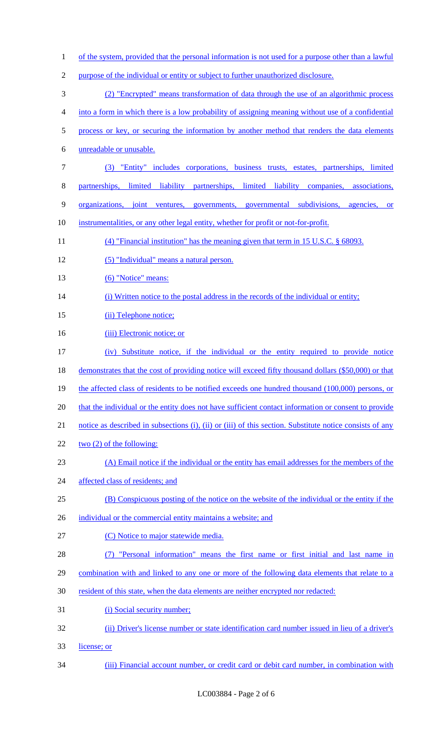- 1 of the system, provided that the personal information is not used for a purpose other than a lawful 2 purpose of the individual or entity or subject to further unauthorized disclosure. 3 (2) "Encrypted" means transformation of data through the use of an algorithmic process 4 into a form in which there is a low probability of assigning meaning without use of a confidential 5 process or key, or securing the information by another method that renders the data elements 6 unreadable or unusable. 7 (3) "Entity" includes corporations, business trusts, estates, partnerships, limited 8 partnerships, limited liability partnerships, limited liability companies, associations, 9 organizations, joint ventures, governments, governmental subdivisions, agencies, or 10 instrumentalities, or any other legal entity, whether for profit or not-for-profit. 11 (4) "Financial institution" has the meaning given that term in 15 U.S.C. § 68093. 12 (5) "Individual" means a natural person. 13 (6) "Notice" means: 14 (i) Written notice to the postal address in the records of the individual or entity; 15 (ii) Telephone notice; 16 (iii) Electronic notice; or 17 (iv) Substitute notice, if the individual or the entity required to provide notice 18 demonstrates that the cost of providing notice will exceed fifty thousand dollars (\$50,000) or that 19 the affected class of residents to be notified exceeds one hundred thousand (100,000) persons, or 20 that the individual or the entity does not have sufficient contact information or consent to provide 21 notice as described in subsections (i), (ii) or (iii) of this section. Substitute notice consists of any 22 two (2) of the following: 23 (A) Email notice if the individual or the entity has email addresses for the members of the 24 affected class of residents; and 25 (B) Conspicuous posting of the notice on the website of the individual or the entity if the 26 individual or the commercial entity maintains a website; and 27 (C) Notice to major statewide media. 28 (7) "Personal information" means the first name or first initial and last name in 29 combination with and linked to any one or more of the following data elements that relate to a 30 resident of this state, when the data elements are neither encrypted nor redacted: 31 (i) Social security number; 32 (ii) Driver's license number or state identification card number issued in lieu of a driver's
- 33 license; or
- 34 (iii) Financial account number, or credit card or debit card number, in combination with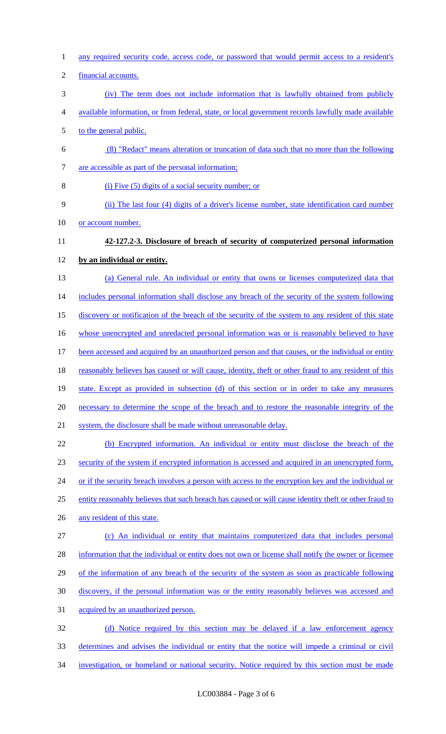- any required security code, access code, or password that would permit access to a resident's
- financial accounts.
- (iv) The term does not include information that is lawfully obtained from publicly
- available information, or from federal, state, or local government records lawfully made available
- 5 to the general public.
- (8) "Redact" means alteration or truncation of data such that no more than the following
- are accessible as part of the personal information;
- (i) Five (5) digits of a social security number; or
- (ii) The last four (4) digits of a driver's license number, state identification card number
- 10 or account number.
- **42-127.2-3. Disclosure of breach of security of computerized personal information**

# **by an individual or entity.**

- (a) General rule. An individual or entity that owns or licenses computerized data that 14 includes personal information shall disclose any breach of the security of the system following discovery or notification of the breach of the security of the system to any resident of this state 16 whose unencrypted and unredacted personal information was or is reasonably believed to have been accessed and acquired by an unauthorized person and that causes, or the individual or entity 18 reasonably believes has caused or will cause, identity, theft or other fraud to any resident of this state. Except as provided in subsection (d) of this section or in order to take any measures necessary to determine the scope of the breach and to restore the reasonable integrity of the
- system, the disclosure shall be made without unreasonable delay.
- (b) Encrypted information. An individual or entity must disclose the breach of the security of the system if encrypted information is accessed and acquired in an unencrypted form, 24 or if the security breach involves a person with access to the encryption key and the individual or entity reasonably believes that such breach has caused or will cause identity theft or other fraud to 26 any resident of this state. (c) An individual or entity that maintains computerized data that includes personal
- 28 information that the individual or entity does not own or license shall notify the owner or licensee 29 of the information of any breach of the security of the system as soon as practicable following discovery, if the personal information was or the entity reasonably believes was accessed and
- acquired by an unauthorized person.
- (d) Notice required by this section may be delayed if a law enforcement agency determines and advises the individual or entity that the notice will impede a criminal or civil investigation, or homeland or national security. Notice required by this section must be made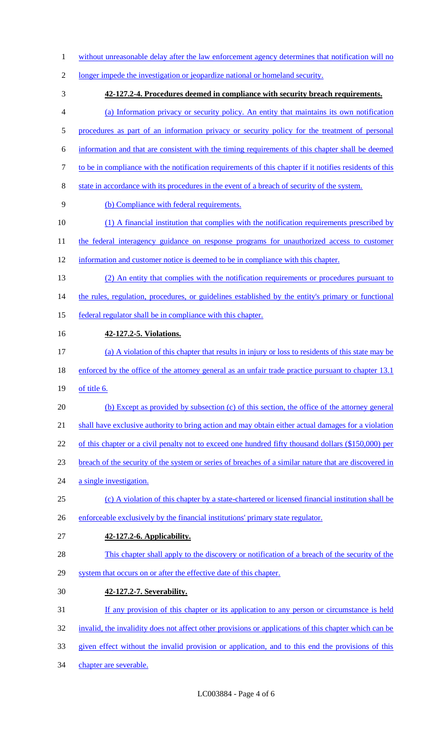- 1 without unreasonable delay after the law enforcement agency determines that notification will no
- longer impede the investigation or jeopardize national or homeland security.
- **42-127.2-4. Procedures deemed in compliance with security breach requirements.** (a) Information privacy or security policy. An entity that maintains its own notification 5 procedures as part of an information privacy or security policy for the treatment of personal information and that are consistent with the timing requirements of this chapter shall be deemed to be in compliance with the notification requirements of this chapter if it notifies residents of this state in accordance with its procedures in the event of a breach of security of the system. (b) Compliance with federal requirements. (1) A financial institution that complies with the notification requirements prescribed by 11 the federal interagency guidance on response programs for unauthorized access to customer information and customer notice is deemed to be in compliance with this chapter. (2) An entity that complies with the notification requirements or procedures pursuant to 14 the rules, regulation, procedures, or guidelines established by the entity's primary or functional federal regulator shall be in compliance with this chapter.
- **42-127.2-5. Violations.**
- (a) A violation of this chapter that results in injury or loss to residents of this state may be
- 18 enforced by the office of the attorney general as an unfair trade practice pursuant to chapter 13.1
- of title 6.
- (b) Except as provided by subsection (c) of this section, the office of the attorney general
- shall have exclusive authority to bring action and may obtain either actual damages for a violation
- 22 of this chapter or a civil penalty not to exceed one hundred fifty thousand dollars (\$150,000) per
- breach of the security of the system or series of breaches of a similar nature that are discovered in
- 24 a single investigation.
- (c) A violation of this chapter by a state-chartered or licensed financial institution shall be
- enforceable exclusively by the financial institutions' primary state regulator.
- **42-127.2-6. Applicability.**
- This chapter shall apply to the discovery or notification of a breach of the security of the
- 29 system that occurs on or after the effective date of this chapter.
- **42-127.2-7. Severability.**
- 31 If any provision of this chapter or its application to any person or circumstance is held
- invalid, the invalidity does not affect other provisions or applications of this chapter which can be
- given effect without the invalid provision or application, and to this end the provisions of this
- chapter are severable.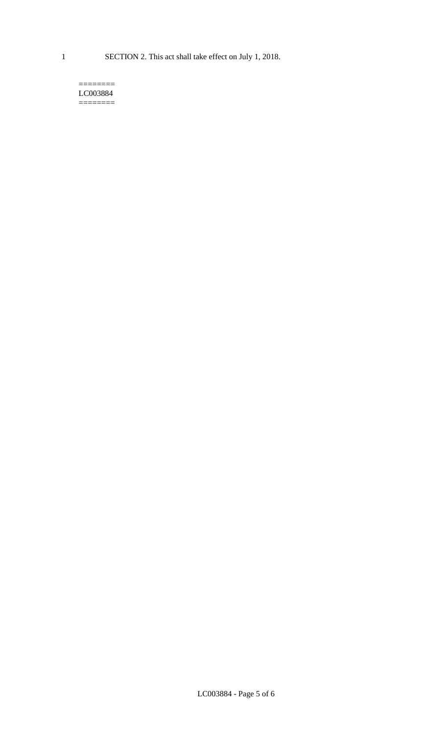#### $=$ LC003884 ========